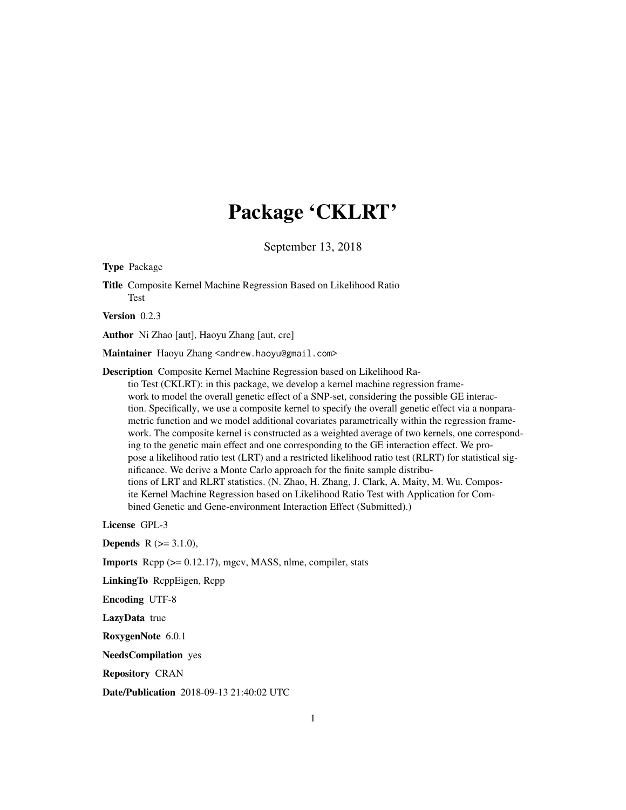## Package 'CKLRT'

September 13, 2018

Type Package

Title Composite Kernel Machine Regression Based on Likelihood Ratio Test

Version 0.2.3

Author Ni Zhao [aut], Haoyu Zhang [aut, cre]

Maintainer Haoyu Zhang <andrew.haoyu@gmail.com>

Description Composite Kernel Machine Regression based on Likelihood Ra-

tio Test (CKLRT): in this package, we develop a kernel machine regression framework to model the overall genetic effect of a SNP-set, considering the possible GE interaction. Specifically, we use a composite kernel to specify the overall genetic effect via a nonparametric function and we model additional covariates parametrically within the regression framework. The composite kernel is constructed as a weighted average of two kernels, one corresponding to the genetic main effect and one corresponding to the GE interaction effect. We propose a likelihood ratio test (LRT) and a restricted likelihood ratio test (RLRT) for statistical significance. We derive a Monte Carlo approach for the finite sample distributions of LRT and RLRT statistics. (N. Zhao, H. Zhang, J. Clark, A. Maity, M. Wu. Composite Kernel Machine Regression based on Likelihood Ratio Test with Application for Combined Genetic and Gene-environment Interaction Effect (Submitted).)

License GPL-3

**Depends** R  $(>= 3.1.0)$ ,

**Imports** Rcpp  $(>= 0.12.17)$ , mgcv, MASS, nlme, compiler, stats

LinkingTo RcppEigen, Rcpp

Encoding UTF-8

LazyData true

RoxygenNote 6.0.1

NeedsCompilation yes

Repository CRAN

Date/Publication 2018-09-13 21:40:02 UTC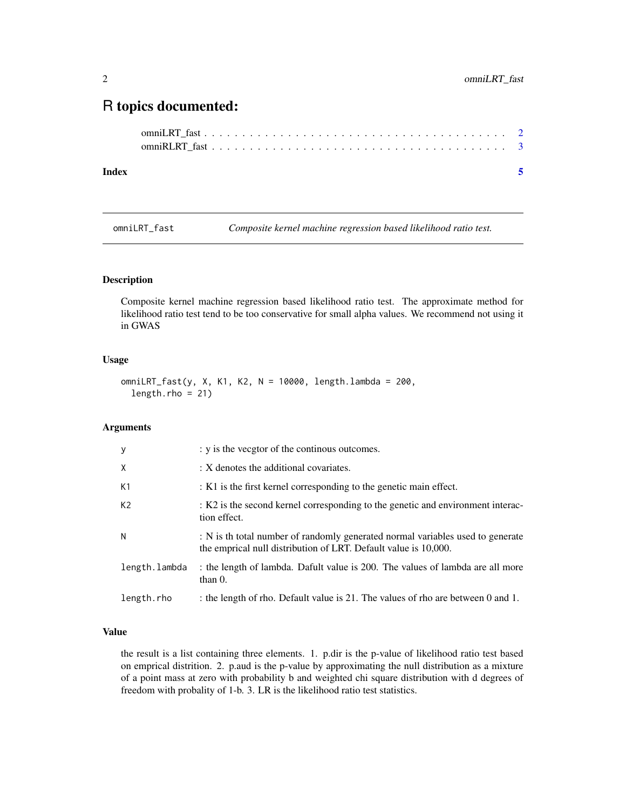### <span id="page-1-0"></span>R topics documented:

#### **Index** [5](#page-4-0). The second state of the second state of the second state of the second state of the second state of the second state of the second state of the second state of the second state of the second state of the second

omniLRT\_fast *Composite kernel machine regression based likelihood ratio test.*

#### Description

Composite kernel machine regression based likelihood ratio test. The approximate method for likelihood ratio test tend to be too conservative for small alpha values. We recommend not using it in GWAS

#### Usage

```
omniLRT_fast(y, X, K1, K2, N = 10000, length.lambda = 200,
length.rho = 21)
```
#### Arguments

| y              | : y is the vecgtor of the continous outcomes.                                                                                                     |
|----------------|---------------------------------------------------------------------------------------------------------------------------------------------------|
| X              | : X denotes the additional covariates.                                                                                                            |
| K1             | : K1 is the first kernel corresponding to the genetic main effect.                                                                                |
| K <sub>2</sub> | : K2 is the second kernel corresponding to the genetic and environment interac-<br>tion effect.                                                   |
| N              | : N is th total number of randomly generated normal variables used to generate<br>the emprical null distribution of LRT. Default value is 10,000. |
| length.lambda  | the length of lambda. Dafult value is 200. The values of lambda are all more<br>than $0$ .                                                        |
| length.rho     | : the length of rho. Default value is 21. The values of rho are between 0 and 1.                                                                  |

#### Value

the result is a list containing three elements. 1. p.dir is the p-value of likelihood ratio test based on emprical distrition. 2. p.aud is the p-value by approximating the null distribution as a mixture of a point mass at zero with probability b and weighted chi square distribution with d degrees of freedom with probality of 1-b. 3. LR is the likelihood ratio test statistics.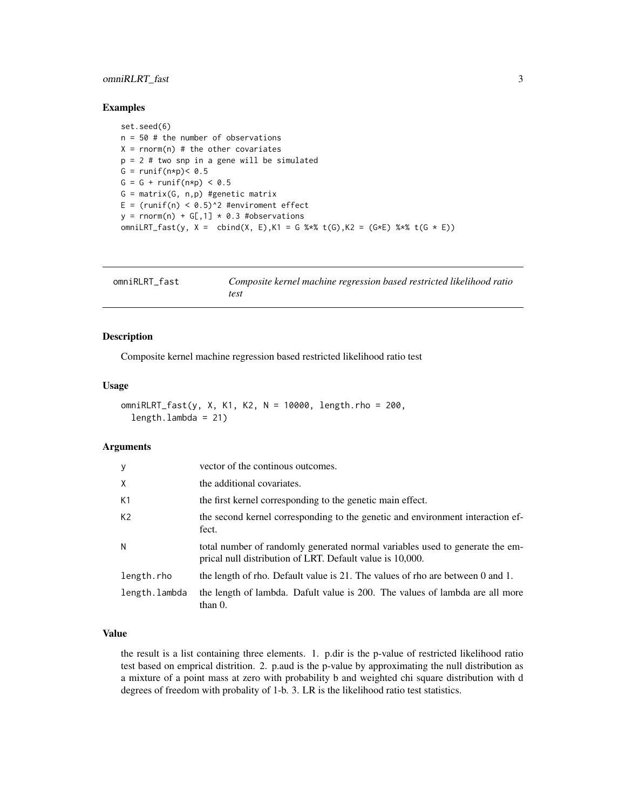#### <span id="page-2-0"></span>omniRLRT\_fast 3

#### Examples

set.seed(6)  $n = 50$  # the number of observations  $X = rnorm(n)$  # the other covariates p = 2 # two snp in a gene will be simulated G =  $runif(n*p) < 0.5$  $G = G + runif(n*p) < 0.5$  $G = matrix(G, n, p)$  #genetic matrix E =  $(runif(n) < 0.5)^2$  #enviroment effect  $y = rnorm(n) + G[, 1] * 0.3$  #observations omniLRT\_fast(y, X = cbind(X, E), K1 = G %\*% t(G), K2 = (G\*E) %\*% t(G \* E))

| omniRLRT_fast | Composite kernel machine regression based restricted likelihood ratio |
|---------------|-----------------------------------------------------------------------|
|               | test                                                                  |

#### Description

Composite kernel machine regression based restricted likelihood ratio test

#### Usage

```
omniRLRT_fast(y, X, K1, K2, N = 10000, length.rho = 200,
 length.lambda = 21)
```
#### Arguments

| y              | vector of the continous outcomes.                                                                                                         |
|----------------|-------------------------------------------------------------------------------------------------------------------------------------------|
| X              | the additional covariates.                                                                                                                |
| K1             | the first kernel corresponding to the genetic main effect.                                                                                |
| K <sub>2</sub> | the second kernel corresponding to the genetic and environment interaction ef-<br>fect.                                                   |
| N              | total number of randomly generated normal variables used to generate the em-<br>prical null distribution of LRT. Default value is 10,000. |
| length.rho     | the length of rho. Default value is 21. The values of rho are between 0 and 1.                                                            |
| length.lambda  | the length of lambda. Dafult value is 200. The values of lambda are all more<br>than $0$ .                                                |

#### Value

the result is a list containing three elements. 1. p.dir is the p-value of restricted likelihood ratio test based on emprical distrition. 2. p.aud is the p-value by approximating the null distribution as a mixture of a point mass at zero with probability b and weighted chi square distribution with d degrees of freedom with probality of 1-b. 3. LR is the likelihood ratio test statistics.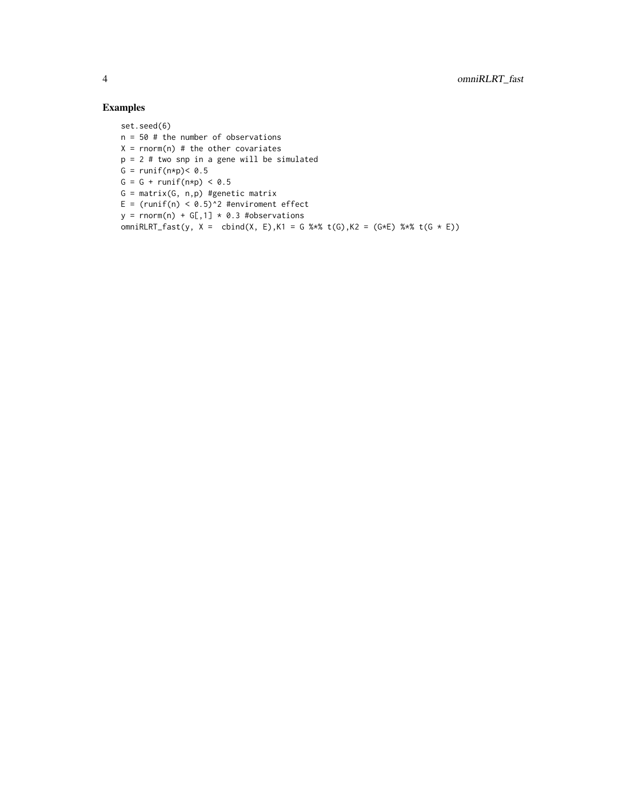#### Examples

set.seed(6) n = 50 # the number of observations  $X = rnorm(n)$  # the other covariates p = 2 # two snp in a gene will be simulated G =  $runif(n*p) < 0.5$  $G = G + runif(n*p) < 0.5$  $G = matrix(G, n, p)$  #genetic matrix E =  $(runif(n) < 0.5)^2$  #enviroment effect  $y = \text{norm}(n) + G[, 1] \times 0.3$  #observations omniRLRT\_fast(y, X = cbind(X, E),K1 = G %\*% t(G),K2 = (G\*E) %\*% t(G \* E))